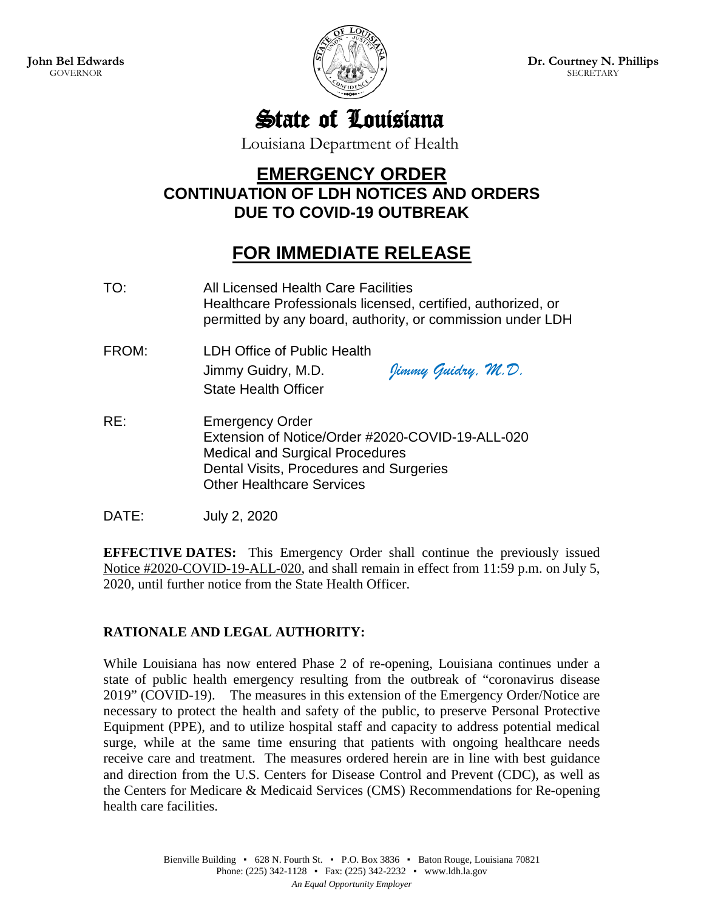

**Dr. Courtney N. Phillips SECRETARY** 

State of Louisiana

Louisiana Department of Health

## **EMERGENCY ORDER CONTINUATION OF LDH NOTICES AND ORDERS DUE TO COVID-19 OUTBREAK**

## **FOR IMMEDIATE RELEASE**

TO: All Licensed Health Care Facilities Healthcare Professionals licensed, certified, authorized, or permitted by any board, authority, or commission under LDH FROM: LDH Office of Public Health Jimmy Guidry, M.D. *Jimmy Guidry, M.D.* State Health Officer RE: Emergency Order Extension of Notice/Order #2020-COVID-19-ALL-020 Medical and Surgical Procedures Dental Visits, Procedures and Surgeries Other Healthcare Services

DATE: July 2, 2020

**EFFECTIVE DATES:** This Emergency Order shall continue the previously issued Notice #2020-COVID-19-ALL-020, and shall remain in effect from 11:59 p.m. on July 5, 2020, until further notice from the State Health Officer.

## **RATIONALE AND LEGAL AUTHORITY:**

While Louisiana has now entered Phase 2 of re-opening, Louisiana continues under a state of public health emergency resulting from the outbreak of "coronavirus disease 2019" (COVID-19). The measures in this extension of the Emergency Order/Notice are necessary to protect the health and safety of the public, to preserve Personal Protective Equipment (PPE), and to utilize hospital staff and capacity to address potential medical surge, while at the same time ensuring that patients with ongoing healthcare needs receive care and treatment. The measures ordered herein are in line with best guidance and direction from the U.S. Centers for Disease Control and Prevent (CDC), as well as the Centers for Medicare & Medicaid Services (CMS) Recommendations for Re-opening health care facilities.